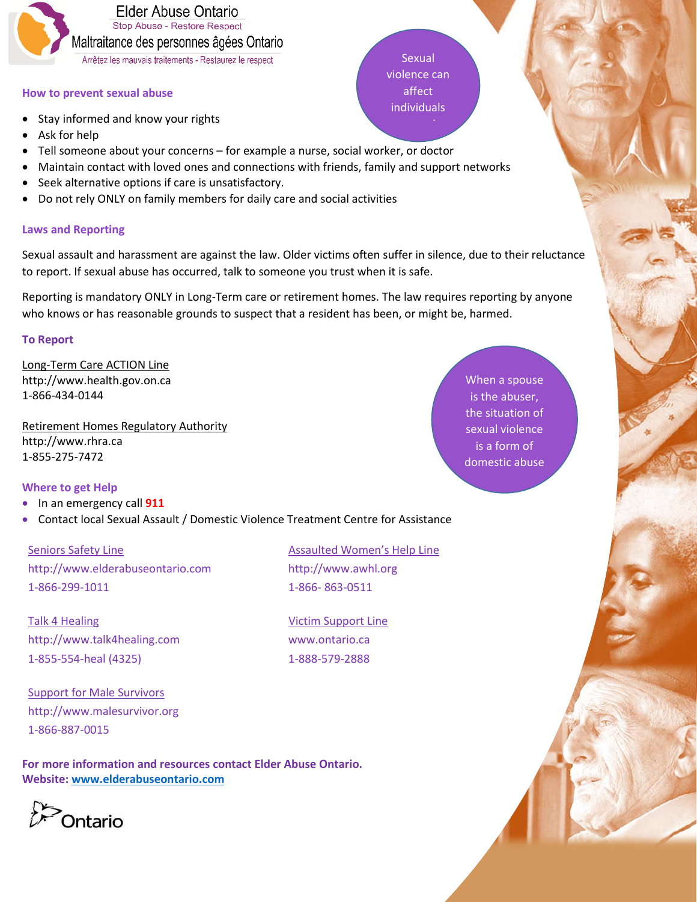

# **How to prevent sexual abuse**

- Stay informed and know your rights
- Ask for help
- Tell someone about your concerns for example a nurse, social worker, or doctor
- Maintain contact with loved ones and connections with friends, family and support networks
- Seek alternative options if care is unsatisfactory.
- Do not rely ONLY on family members for daily care and social activities

# **Laws and Reporting**

Sexual assault and harassment are against the law. Older victims often suffer in silence, due to their reluctance to report. If sexual abuse has occurred, talk to someone you trust when it is safe.

Reporting is mandatory ONLY in Long-Term care or retirement homes. The law requires reporting by anyone who knows or has reasonable grounds to suspect that a resident has been, or might be, harmed.

#### **To Report**

Long-Term Care ACTION Line http://www.health.gov.on.ca 1-866-434-0144

Retirement Homes Regulatory Authority http://www.rhra.ca 1-855-275-7472

# **Where to get Help**

- In an emergency call **911**
- Contact local Sexual Assault / Domestic Violence Treatment Centre for Assistance

Seniors Safety Line http://www.elderabuseontario.com 1-866-299-1011

Talk 4 Healing http://www.talk4healing.com 1-855-554-heal (4325)

Support for Male Survivors http://www.malesurvivor.org 1-866-887-0015

**For more information and resources contact Elder Abuse Ontario. Website: [www.elderabuseontario.com](http://www.elderabuseontario.com/)**

Ontario

 Assaulted Women's Help Line http://www.awhl.org 1-866- 863-0511

 Victim Support Line www.ontario.ca 1-888-579-2888

When a spouse is the abuser, the situation of sexual violence is a form of domestic abuse

Sexual violence can affect individuals